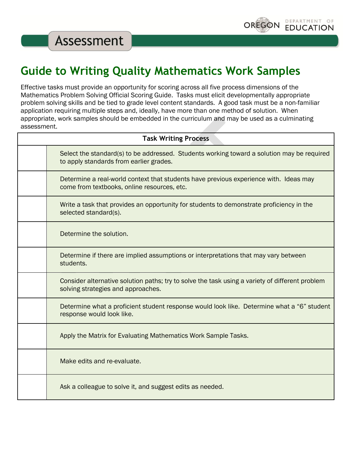

**Assessment** 

## **Guide to Writing Quality Mathematics Work Samples**

Effective tasks must provide an opportunity for scoring across all five process dimensions of the Mathematics Problem Solving Official Scoring Guide. Tasks must elicit developmentally appropriate problem solving skills and be tied to grade level content standards. A good task must be a non-familiar application requiring multiple steps and, ideally, have more than one method of solution. When appropriate, work samples should be embedded in the curriculum and may be used as a culminating assessment.

| <b>Task Writing Process</b> |                                                                                                                                       |  |  |
|-----------------------------|---------------------------------------------------------------------------------------------------------------------------------------|--|--|
|                             | Select the standard(s) to be addressed. Students working toward a solution may be required<br>to apply standards from earlier grades. |  |  |
|                             | Determine a real-world context that students have previous experience with. Ideas may<br>come from textbooks, online resources, etc.  |  |  |
|                             | Write a task that provides an opportunity for students to demonstrate proficiency in the<br>selected standard(s).                     |  |  |
|                             | Determine the solution.                                                                                                               |  |  |
|                             | Determine if there are implied assumptions or interpretations that may vary between<br>students.                                      |  |  |
|                             | Consider alternative solution paths; try to solve the task using a variety of different problem<br>solving strategies and approaches. |  |  |
|                             | Determine what a proficient student response would look like. Determine what a "6" student<br>response would look like.               |  |  |
|                             | Apply the Matrix for Evaluating Mathematics Work Sample Tasks.                                                                        |  |  |
|                             | Make edits and re-evaluate.                                                                                                           |  |  |
|                             | Ask a colleague to solve it, and suggest edits as needed.                                                                             |  |  |